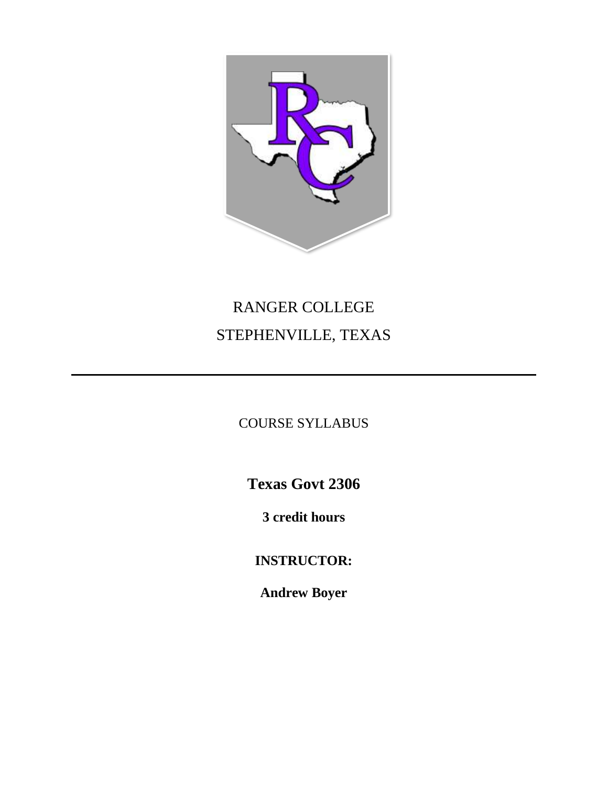

# RANGER COLLEGE STEPHENVILLE, TEXAS

COURSE SYLLABUS

**Texas Govt 2306**

**3 credit hours**

**INSTRUCTOR:**

**Andrew Boyer**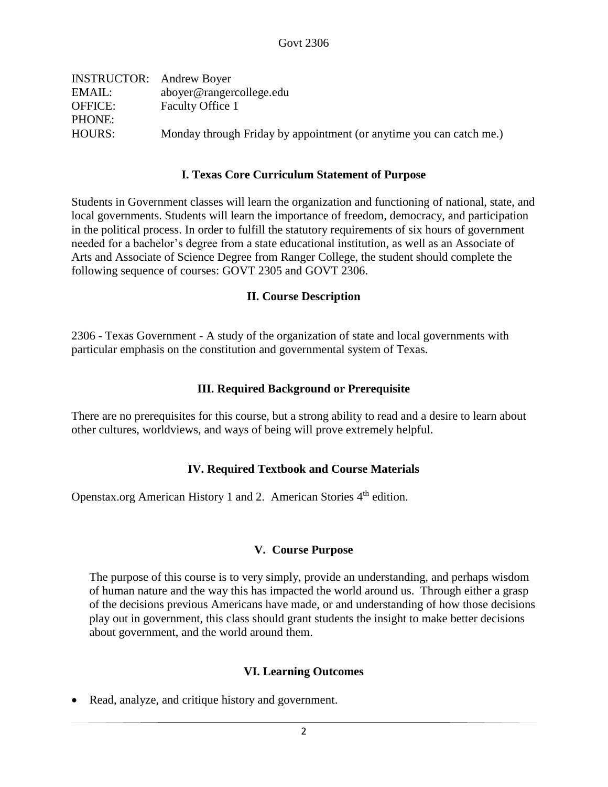| <b>INSTRUCTOR:</b> Andrew Boyer |                                                                     |
|---------------------------------|---------------------------------------------------------------------|
| EMAIL:                          | aboyer@rangercollege.edu                                            |
| <b>OFFICE:</b>                  | Faculty Office 1                                                    |
| PHONE:                          |                                                                     |
| HOURS:                          | Monday through Friday by appointment (or anytime you can catch me.) |
|                                 |                                                                     |

#### **I. Texas Core Curriculum Statement of Purpose**

Students in Government classes will learn the organization and functioning of national, state, and local governments. Students will learn the importance of freedom, democracy, and participation in the political process. In order to fulfill the statutory requirements of six hours of government needed for a bachelor's degree from a state educational institution, as well as an Associate of Arts and Associate of Science Degree from Ranger College, the student should complete the following sequence of courses: GOVT 2305 and GOVT 2306.

#### **II. Course Description**

2306 - Texas Government - A study of the organization of state and local governments with particular emphasis on the constitution and governmental system of Texas.

#### **III. Required Background or Prerequisite**

There are no prerequisites for this course, but a strong ability to read and a desire to learn about other cultures, worldviews, and ways of being will prove extremely helpful.

## **IV. Required Textbook and Course Materials**

Openstax.org American History 1 and 2. American Stories  $4<sup>th</sup>$  edition.

## **V. Course Purpose**

The purpose of this course is to very simply, provide an understanding, and perhaps wisdom of human nature and the way this has impacted the world around us. Through either a grasp of the decisions previous Americans have made, or and understanding of how those decisions play out in government, this class should grant students the insight to make better decisions about government, and the world around them.

## **VI. Learning Outcomes**

• Read, analyze, and critique history and government.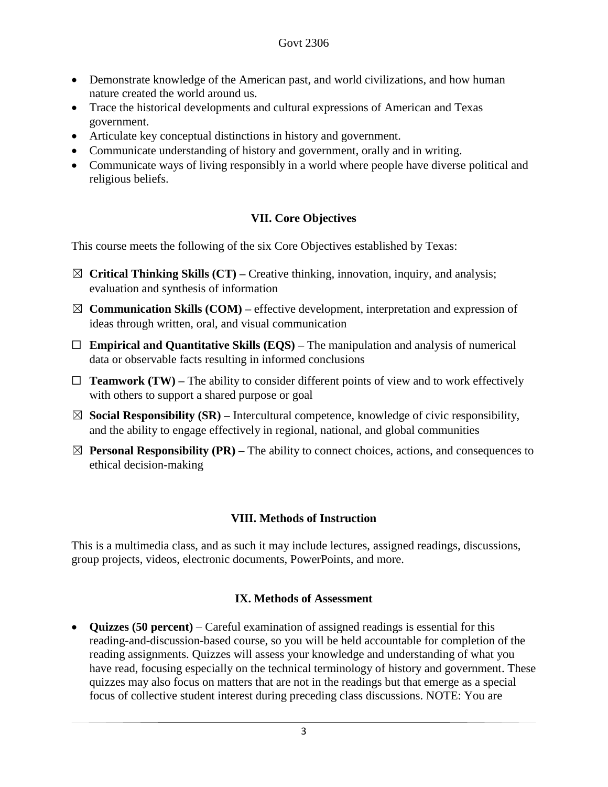- Demonstrate knowledge of the American past, and world civilizations, and how human nature created the world around us.
- Trace the historical developments and cultural expressions of American and Texas government.
- Articulate key conceptual distinctions in history and government.
- Communicate understanding of history and government, orally and in writing.
- Communicate ways of living responsibly in a world where people have diverse political and religious beliefs.

# **VII. Core Objectives**

This course meets the following of the six Core Objectives established by Texas:

- ☒ **Critical Thinking Skills (CT) –** Creative thinking, innovation, inquiry, and analysis; evaluation and synthesis of information
- $\boxtimes$  **Communication Skills (COM)** effective development, interpretation and expression of ideas through written, oral, and visual communication
- ☐ **Empirical and Quantitative Skills (EQS) –** The manipulation and analysis of numerical data or observable facts resulting in informed conclusions
- $\Box$  **Teamwork (TW)** The ability to consider different points of view and to work effectively with others to support a shared purpose or goal
- $\boxtimes$  **Social Responsibility (SR)** Intercultural competence, knowledge of civic responsibility, and the ability to engage effectively in regional, national, and global communities
- $\boxtimes$  **Personal Responsibility (PR)** The ability to connect choices, actions, and consequences to ethical decision-making

# **VIII. Methods of Instruction**

This is a multimedia class, and as such it may include lectures, assigned readings, discussions, group projects, videos, electronic documents, PowerPoints, and more.

## **IX. Methods of Assessment**

• **Quizzes (50 percent)** – Careful examination of assigned readings is essential for this reading-and-discussion-based course, so you will be held accountable for completion of the reading assignments. Quizzes will assess your knowledge and understanding of what you have read, focusing especially on the technical terminology of history and government. These quizzes may also focus on matters that are not in the readings but that emerge as a special focus of collective student interest during preceding class discussions. NOTE: You are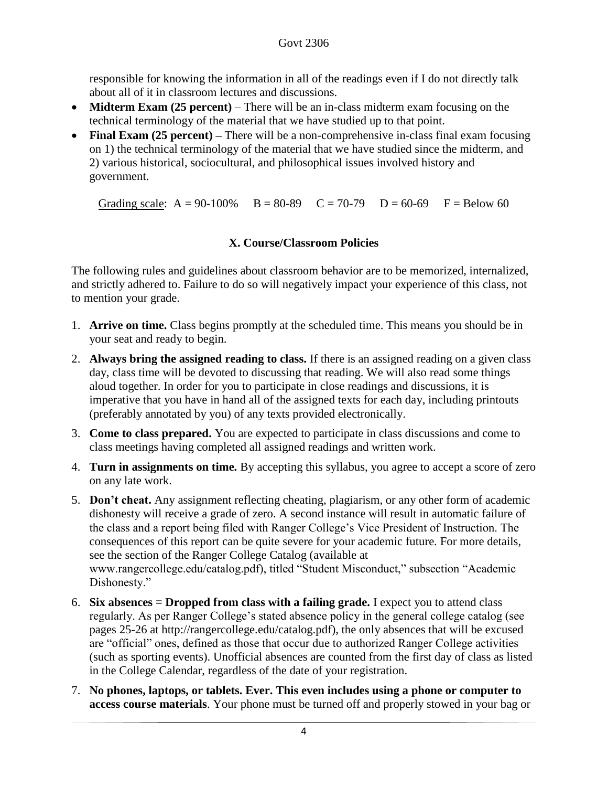responsible for knowing the information in all of the readings even if I do not directly talk about all of it in classroom lectures and discussions.

- **Midterm Exam (25 percent)** There will be an in-class midterm exam focusing on the technical terminology of the material that we have studied up to that point.
- **Final Exam (25 percent)** There will be a non-comprehensive in-class final exam focusing on 1) the technical terminology of the material that we have studied since the midterm, and 2) various historical, sociocultural, and philosophical issues involved history and government.

Grading scale:  $A = 90-100\%$   $B = 80-89$   $C = 70-79$   $D = 60-69$   $F = Below 60$ 

## **X. Course/Classroom Policies**

The following rules and guidelines about classroom behavior are to be memorized, internalized, and strictly adhered to. Failure to do so will negatively impact your experience of this class, not to mention your grade.

- 1. **Arrive on time.** Class begins promptly at the scheduled time. This means you should be in your seat and ready to begin.
- 2. **Always bring the assigned reading to class.** If there is an assigned reading on a given class day, class time will be devoted to discussing that reading. We will also read some things aloud together. In order for you to participate in close readings and discussions, it is imperative that you have in hand all of the assigned texts for each day, including printouts (preferably annotated by you) of any texts provided electronically.
- 3. **Come to class prepared.** You are expected to participate in class discussions and come to class meetings having completed all assigned readings and written work.
- 4. **Turn in assignments on time.** By accepting this syllabus, you agree to accept a score of zero on any late work.
- 5. **Don't cheat.** Any assignment reflecting cheating, plagiarism, or any other form of academic dishonesty will receive a grade of zero. A second instance will result in automatic failure of the class and a report being filed with Ranger College's Vice President of Instruction. The consequences of this report can be quite severe for your academic future. For more details, see the section of the Ranger College Catalog (available at www.rangercollege.edu/catalog.pdf), titled "Student Misconduct," subsection "Academic Dishonesty."
- 6. **Six absences = Dropped from class with a failing grade.** I expect you to attend class regularly. As per Ranger College's stated absence policy in the general college catalog (see pages 25-26 at http://rangercollege.edu/catalog.pdf), the only absences that will be excused are "official" ones, defined as those that occur due to authorized Ranger College activities (such as sporting events). Unofficial absences are counted from the first day of class as listed in the College Calendar, regardless of the date of your registration.
- 7. **No phones, laptops, or tablets. Ever. This even includes using a phone or computer to access course materials**. Your phone must be turned off and properly stowed in your bag or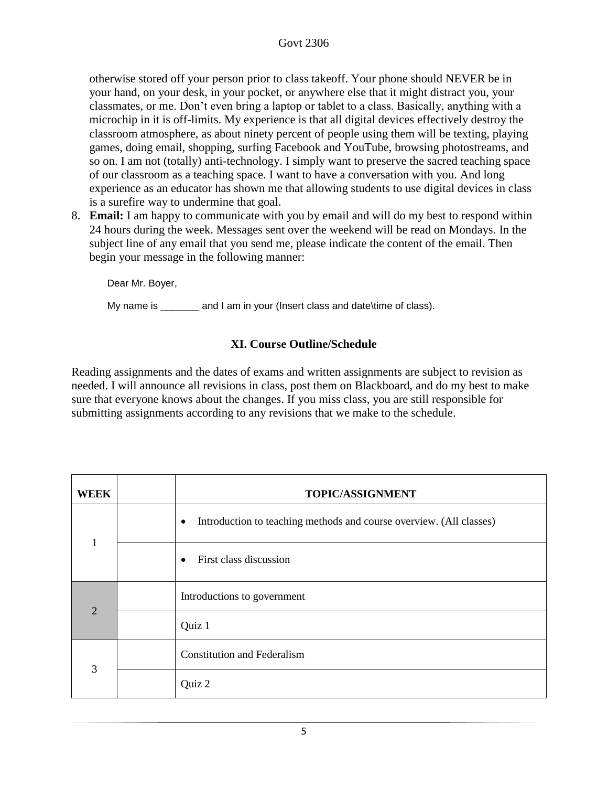## Govt 2306

otherwise stored off your person prior to class takeoff. Your phone should NEVER be in your hand, on your desk, in your pocket, or anywhere else that it might distract you, your classmates, or me. Don't even bring a laptop or tablet to a class. Basically, anything with a microchip in it is off-limits. My experience is that all digital devices effectively destroy the classroom atmosphere, as about ninety percent of people using them will be texting, playing games, doing email, shopping, surfing Facebook and YouTube, browsing photostreams, and so on. I am not (totally) anti-technology. I simply want to preserve the sacred teaching space of our classroom as a teaching space. I want to have a conversation with you. And long experience as an educator has shown me that allowing students to use digital devices in class is a surefire way to undermine that goal.

8. **Email:** I am happy to communicate with you by email and will do my best to respond within 24 hours during the week. Messages sent over the weekend will be read on Mondays. In the subject line of any email that you send me, please indicate the content of the email. Then begin your message in the following manner:

Dear Mr. Boyer,

My name is \_\_\_\_\_\_\_ and I am in your (Insert class and date\time of class).

## **XI. Course Outline/Schedule**

Reading assignments and the dates of exams and written assignments are subject to revision as needed. I will announce all revisions in class, post them on Blackboard, and do my best to make sure that everyone knows about the changes. If you miss class, you are still responsible for submitting assignments according to any revisions that we make to the schedule.

| <b>WEEK</b>    | TOPIC/ASSIGNMENT                                                                 |
|----------------|----------------------------------------------------------------------------------|
| $\mathbf{1}$   | Introduction to teaching methods and course overview. (All classes)<br>$\bullet$ |
|                | First class discussion<br>$\bullet$                                              |
| $\overline{2}$ | Introductions to government                                                      |
|                | Quiz 1                                                                           |
| 3              | <b>Constitution and Federalism</b>                                               |
|                | Quiz 2                                                                           |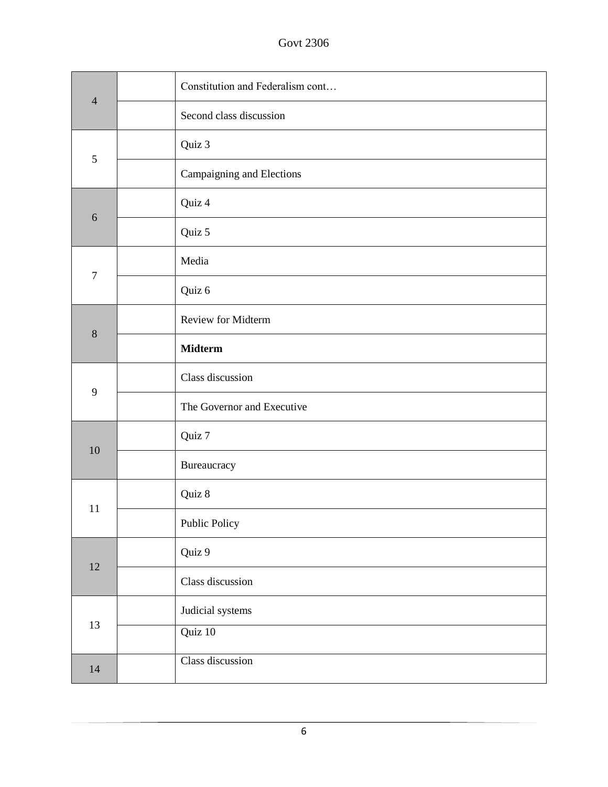Govt 2306

| $\overline{4}$ | Constitution and Federalism cont |
|----------------|----------------------------------|
|                | Second class discussion          |
| 5              | Quiz 3                           |
|                | Campaigning and Elections        |
| $\sqrt{6}$     | Quiz 4                           |
|                | Quiz 5                           |
|                | Media                            |
| $\overline{7}$ | Quiz 6                           |
|                | Review for Midterm               |
| 8              | <b>Midterm</b>                   |
|                | Class discussion                 |
| 9              | The Governor and Executive       |
| 10             | Quiz 7                           |
|                | Bureaucracy                      |
| 11             | Quiz 8                           |
|                | Public Policy                    |
|                | Quiz 9                           |
| $12\,$         | Class discussion                 |
| 13             | Judicial systems                 |
|                | Quiz 10                          |
| 14             | Class discussion                 |